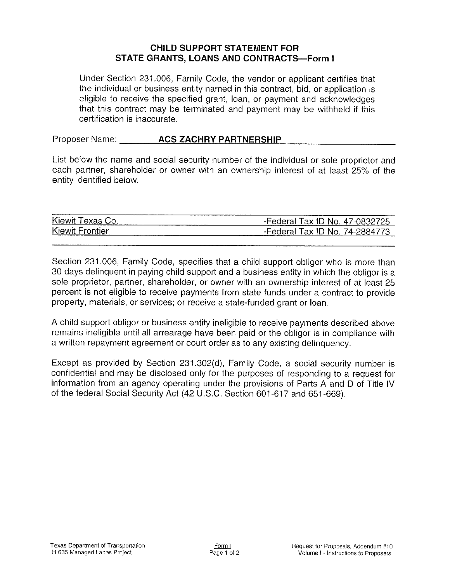## CHILD SUPPORT STATEMENT FOR STATE GRANTS, LOANS AND CONTRACTS-Form I

Under Section 231.006, Family Code, the vendor or applicant certifies that the individual or business entity named in this contract, bid, or application is eligible to receive the specified grant, loan, or payment and acknowledges that this contract may be terminated and payment may be withheld if this certification is inaccurate.

Proposer Name: **ACS ZACHRY PARTNERSHIP** 

List below the name and social security number of the individual or sole proprietor and each partner, shareholder or owner with an ownership interest of at least 25% of the entity identified below.

| -----------------------------<br><br>Kiewi<br>oν | -----------------<br>$\overline{\phantom{a}}$<br>ov.<br>МC<br>.<br>--------------------------------<br><b>The continues of the continues of the continues of the continues of the continues of the continues of the continues</b> |
|--------------------------------------------------|-----------------------------------------------------------------------------------------------------------------------------------------------------------------------------------------------------------------------------------|
| Kiewit<br>-----------------                      | ----------------<br>IA.<br>ov.<br>NO.<br>-----                                                                                                                                                                                    |

Section 231.006, Family Code, specifies that a child support obligor who is more than 30 days delinquent in paying child support and a business entity in which the obligor is a sole proprietor, partner, shareholder, or owner with an ownership interest of at least 25 percent is not eligible to receive payments from state funds under a contract to provide property, materials, or services; or receive a state-funded grant or loan.

A child support obligor or business entity ineligible to receive payments described above remains ineligible until all arrearage have been paid or the obligor is in compliance with a written repayment agreement or court order as to any existing delinquency.

Except as provided by Section 231.302(d), Family Code, a social security number is confidential and may be disclosed only for the purposes of responding to a request for information from an agency operating under the provisions of Parts A and D of Title lV of the federal Social Security Act (42 U.S.C. Section 601-617 and 651-669).